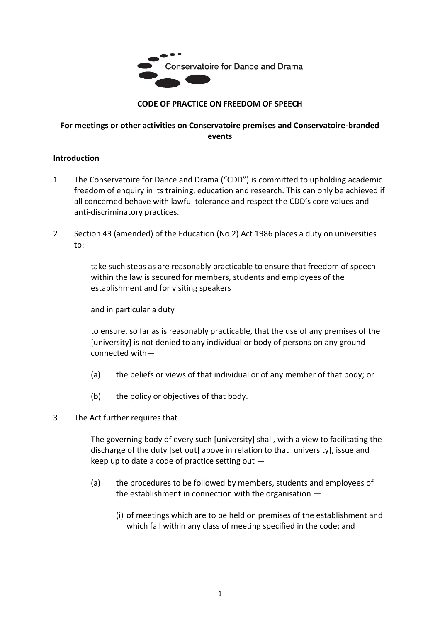

## **CODE OF PRACTICE ON FREEDOM OF SPEECH**

#### **For meetings or other activities on Conservatoire premises and Conservatoire-branded events**

#### **Introduction**

- 1 The Conservatoire for Dance and Drama ("CDD") is committed to upholding academic freedom of enquiry in its training, education and research. This can only be achieved if all concerned behave with lawful tolerance and respect the CDD's core values and anti-discriminatory practices.
- 2 Section 43 (amended) of the Education (No 2) Act 1986 places a duty on universities to:

take such steps as are reasonably practicable to ensure that freedom of speech within the law is secured for members, students and employees of the establishment and for visiting speakers

and in particular a duty

to ensure, so far as is reasonably practicable, that the use of any premises of the [university] is not denied to any individual or body of persons on any ground connected with—

- (a) the beliefs or views of that individual or of any member of that body; or
- (b) the policy or objectives of that body.
- 3 The Act further requires that

The governing body of every such [university] shall, with a view to facilitating the discharge of the duty [set out] above in relation to that [university], issue and keep up to date a code of practice setting out —

- (a) the procedures to be followed by members, students and employees of the establishment in connection with the organisation —
	- (i) of meetings which are to be held on premises of the establishment and which fall within any class of meeting specified in the code; and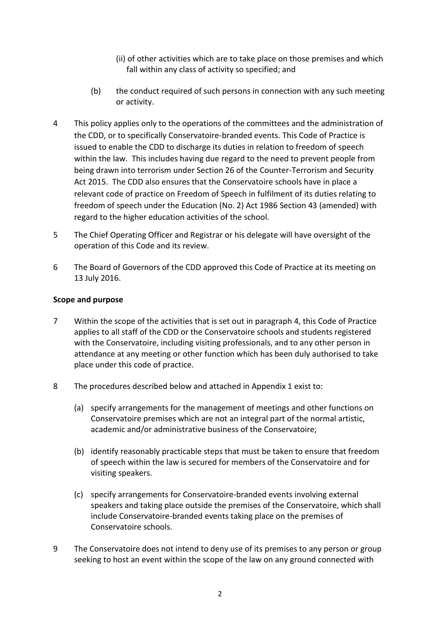- (ii) of other activities which are to take place on those premises and which fall within any class of activity so specified; and
- (b) the conduct required of such persons in connection with any such meeting or activity.
- 4 This policy applies only to the operations of the committees and the administration of the CDD, or to specifically Conservatoire-branded events. This Code of Practice is issued to enable the CDD to discharge its duties in relation to freedom of speech within the law. This includes having due regard to the need to prevent people from being drawn into terrorism under Section 26 of the Counter-Terrorism and Security Act 2015. The CDD also ensures that the Conservatoire schools have in place a relevant code of practice on Freedom of Speech in fulfilment of its duties relating to freedom of speech under the Education (No. 2) Act 1986 Section 43 (amended) with regard to the higher education activities of the school.
- 5 The Chief Operating Officer and Registrar or his delegate will have oversight of the operation of this Code and its review.
- 6 The Board of Governors of the CDD approved this Code of Practice at its meeting on 13 July 2016.

## **Scope and purpose**

- 7 Within the scope of the activities that is set out in paragraph 4, this Code of Practice applies to all staff of the CDD or the Conservatoire schools and students registered with the Conservatoire, including visiting professionals, and to any other person in attendance at any meeting or other function which has been duly authorised to take place under this code of practice.
- 8 The procedures described below and attached in Appendix 1 exist to:
	- (a) specify arrangements for the management of meetings and other functions on Conservatoire premises which are not an integral part of the normal artistic, academic and/or administrative business of the Conservatoire;
	- (b) identify reasonably practicable steps that must be taken to ensure that freedom of speech within the law is secured for members of the Conservatoire and for visiting speakers.
	- (c) specify arrangements for Conservatoire-branded events involving external speakers and taking place outside the premises of the Conservatoire, which shall include Conservatoire-branded events taking place on the premises of Conservatoire schools.
- 9 The Conservatoire does not intend to deny use of its premises to any person or group seeking to host an event within the scope of the law on any ground connected with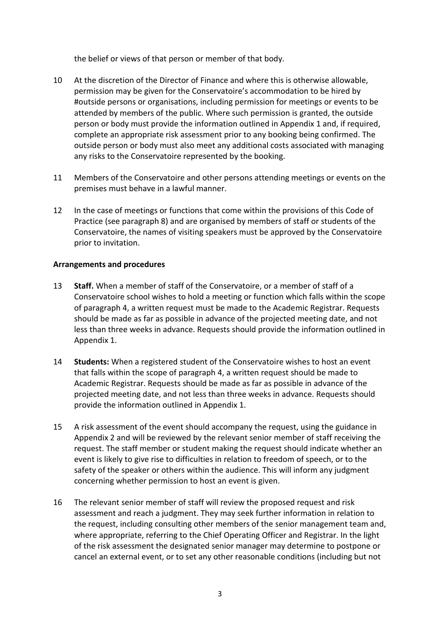the belief or views of that person or member of that body.

- 10 At the discretion of the Director of Finance and where this is otherwise allowable, permission may be given for the Conservatoire's accommodation to be hired by #outside persons or organisations, including permission for meetings or events to be attended by members of the public. Where such permission is granted, the outside person or body must provide the information outlined in Appendix 1 and, if required, complete an appropriate risk assessment prior to any booking being confirmed. The outside person or body must also meet any additional costs associated with managing any risks to the Conservatoire represented by the booking.
- 11 Members of the Conservatoire and other persons attending meetings or events on the premises must behave in a lawful manner.
- 12 In the case of meetings or functions that come within the provisions of this Code of Practice (see paragraph 8) and are organised by members of staff or students of the Conservatoire, the names of visiting speakers must be approved by the Conservatoire prior to invitation.

#### **Arrangements and procedures**

- 13 **Staff.** When a member of staff of the Conservatoire, or a member of staff of a Conservatoire school wishes to hold a meeting or function which falls within the scope of paragraph 4, a written request must be made to the Academic Registrar. Requests should be made as far as possible in advance of the projected meeting date, and not less than three weeks in advance. Requests should provide the information outlined in Appendix 1.
- 14 **Students:** When a registered student of the Conservatoire wishes to host an event that falls within the scope of paragraph 4, a written request should be made to Academic Registrar. Requests should be made as far as possible in advance of the projected meeting date, and not less than three weeks in advance. Requests should provide the information outlined in Appendix 1.
- 15 A risk assessment of the event should accompany the request, using the guidance in Appendix 2 and will be reviewed by the relevant senior member of staff receiving the request. The staff member or student making the request should indicate whether an event is likely to give rise to difficulties in relation to freedom of speech, or to the safety of the speaker or others within the audience. This will inform any judgment concerning whether permission to host an event is given.
- 16 The relevant senior member of staff will review the proposed request and risk assessment and reach a judgment. They may seek further information in relation to the request, including consulting other members of the senior management team and, where appropriate, referring to the Chief Operating Officer and Registrar. In the light of the risk assessment the designated senior manager may determine to postpone or cancel an external event, or to set any other reasonable conditions (including but not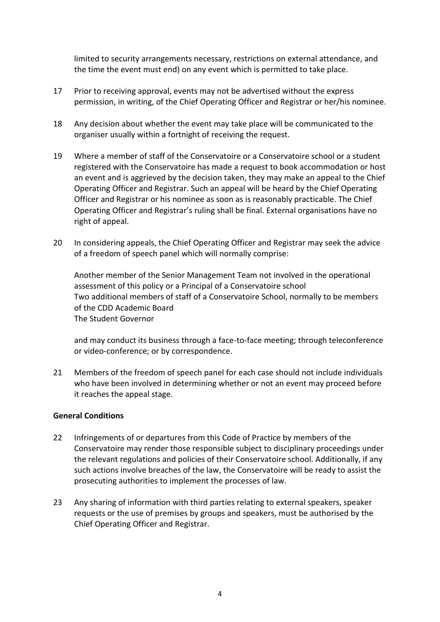limited to security arrangements necessary, restrictions on external attendance, and the time the event must end) on any event which is permitted to take place.

- 17 Prior to receiving approval, events may not be advertised without the express permission, in writing, of the Chief Operating Officer and Registrar or her/his nominee.
- 18 Any decision about whether the event may take place will be communicated to the organiser usually within a fortnight of receiving the request.
- 19 Where a member of staff of the Conservatoire or a Conservatoire school or a student registered with the Conservatoire has made a request to book accommodation or host an event and is aggrieved by the decision taken, they may make an appeal to the Chief Operating Officer and Registrar. Such an appeal will be heard by the Chief Operating Officer and Registrar or his nominee as soon as is reasonably practicable. The Chief Operating Officer and Registrar's ruling shall be final. External organisations have no right of appeal.
- 20 In considering appeals, the Chief Operating Officer and Registrar may seek the advice of a freedom of speech panel which will normally comprise:

Another member of the Senior Management Team not involved in the operational assessment of this policy or a Principal of a Conservatoire school Two additional members of staff of a Conservatoire School, normally to be members of the CDD Academic Board The Student Governor

and may conduct its business through a face-to-face meeting; through teleconference or video-conference; or by correspondence.

21 Members of the freedom of speech panel for each case should not include individuals who have been involved in determining whether or not an event may proceed before it reaches the appeal stage.

## **General Conditions**

- 22 Infringements of or departures from this Code of Practice by members of the Conservatoire may render those responsible subject to disciplinary proceedings under the relevant regulations and policies of their Conservatoire school. Additionally, if any such actions involve breaches of the law, the Conservatoire will be ready to assist the prosecuting authorities to implement the processes of law.
- 23 Any sharing of information with third parties relating to external speakers, speaker requests or the use of premises by groups and speakers, must be authorised by the Chief Operating Officer and Registrar.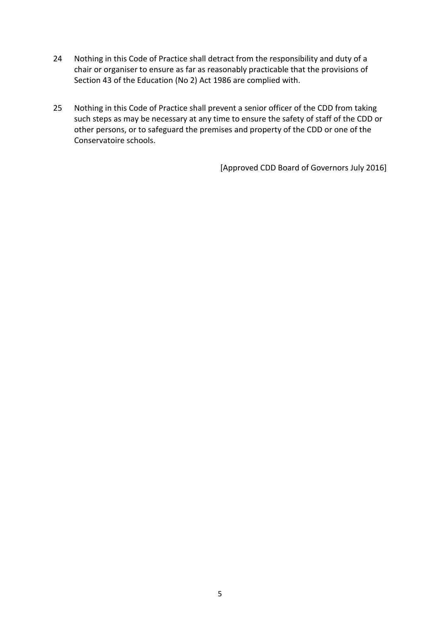- 24 Nothing in this Code of Practice shall detract from the responsibility and duty of a chair or organiser to ensure as far as reasonably practicable that the provisions of Section 43 of the Education (No 2) Act 1986 are complied with.
- 25 Nothing in this Code of Practice shall prevent a senior officer of the CDD from taking such steps as may be necessary at any time to ensure the safety of staff of the CDD or other persons, or to safeguard the premises and property of the CDD or one of the Conservatoire schools.

[Approved CDD Board of Governors July 2016]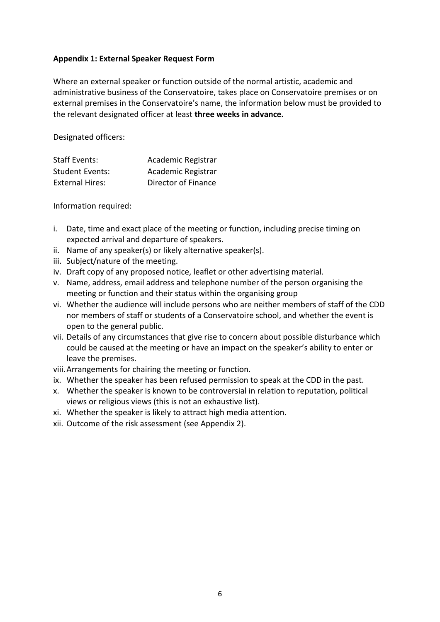#### **Appendix 1: External Speaker Request Form**

Where an external speaker or function outside of the normal artistic, academic and administrative business of the Conservatoire, takes place on Conservatoire premises or on external premises in the Conservatoire's name, the information below must be provided to the relevant designated officer at least **three weeks in advance.**

Designated officers:

| <b>Staff Events:</b>   | Academic Registrar  |
|------------------------|---------------------|
| <b>Student Events:</b> | Academic Registrar  |
| <b>External Hires:</b> | Director of Finance |

Information required:

- i. Date, time and exact place of the meeting or function, including precise timing on expected arrival and departure of speakers.
- ii. Name of any speaker(s) or likely alternative speaker(s).
- iii. Subject/nature of the meeting.
- iv. Draft copy of any proposed notice, leaflet or other advertising material.
- v. Name, address, email address and telephone number of the person organising the meeting or function and their status within the organising group
- vi. Whether the audience will include persons who are neither members of staff of the CDD nor members of staff or students of a Conservatoire school, and whether the event is open to the general public.
- vii. Details of any circumstances that give rise to concern about possible disturbance which could be caused at the meeting or have an impact on the speaker's ability to enter or leave the premises.
- viii.Arrangements for chairing the meeting or function.
- ix. Whether the speaker has been refused permission to speak at the CDD in the past.
- x. Whether the speaker is known to be controversial in relation to reputation, political views or religious views (this is not an exhaustive list).
- xi. Whether the speaker is likely to attract high media attention.
- xii. Outcome of the risk assessment (see Appendix 2).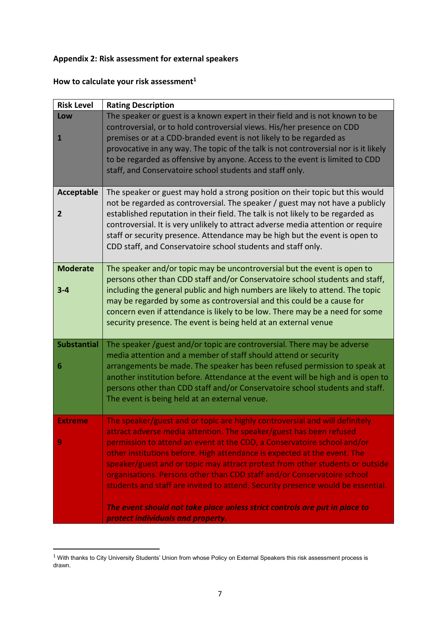# **Appendix 2: Risk assessment for external speakers**

| How to calculate your risk assessment <sup>1</sup> |  |  |  |
|----------------------------------------------------|--|--|--|
|----------------------------------------------------|--|--|--|

| <b>Risk Level</b>                | <b>Rating Description</b>                                                                                                                                                                                                                                                                                                                                                                                                                                                                                                                                                                                                                                                   |
|----------------------------------|-----------------------------------------------------------------------------------------------------------------------------------------------------------------------------------------------------------------------------------------------------------------------------------------------------------------------------------------------------------------------------------------------------------------------------------------------------------------------------------------------------------------------------------------------------------------------------------------------------------------------------------------------------------------------------|
| Low<br>$\mathbf{1}$              | The speaker or guest is a known expert in their field and is not known to be<br>controversial, or to hold controversial views. His/her presence on CDD<br>premises or at a CDD-branded event is not likely to be regarded as<br>provocative in any way. The topic of the talk is not controversial nor is it likely<br>to be regarded as offensive by anyone. Access to the event is limited to CDD<br>staff, and Conservatoire school students and staff only.                                                                                                                                                                                                             |
| Acceptable<br>2                  | The speaker or guest may hold a strong position on their topic but this would<br>not be regarded as controversial. The speaker / guest may not have a publicly<br>established reputation in their field. The talk is not likely to be regarded as<br>controversial. It is very unlikely to attract adverse media attention or require<br>staff or security presence. Attendance may be high but the event is open to<br>CDD staff, and Conservatoire school students and staff only.                                                                                                                                                                                        |
| <b>Moderate</b><br>$3 - 4$       | The speaker and/or topic may be uncontroversial but the event is open to<br>persons other than CDD staff and/or Conservatoire school students and staff,<br>including the general public and high numbers are likely to attend. The topic<br>may be regarded by some as controversial and this could be a cause for<br>concern even if attendance is likely to be low. There may be a need for some<br>security presence. The event is being held at an external venue                                                                                                                                                                                                      |
| <b>Substantial</b><br>6          | The speaker /guest and/or topic are controversial. There may be adverse<br>media attention and a member of staff should attend or security<br>arrangements be made. The speaker has been refused permission to speak at<br>another institution before. Attendance at the event will be high and is open to<br>persons other than CDD staff and/or Conservatoire school students and staff.<br>The event is being held at an external venue.                                                                                                                                                                                                                                 |
| <b>Extreme</b><br>$\overline{9}$ | The speaker/guest and or topic are highly controversial and will definitely<br>attract adverse media attention. The speaker/guest has been refused<br>permission to attend an event at the CDD, a Conservatoire school and/or<br>other institutions before. High attendance is expected at the event. The<br>speaker/guest and or topic may attract protest from other students or outside<br>organisations. Persons other than CDD staff and/or Conservatoire school<br>students and staff are invited to attend. Security presence would be essential.<br>The event should not take place unless strict controls are put in place to<br>protect individuals and property. |

 $1$  With thanks to City University Students' Union from whose Policy on External Speakers this risk assessment process is drawn.

 $\overline{a}$